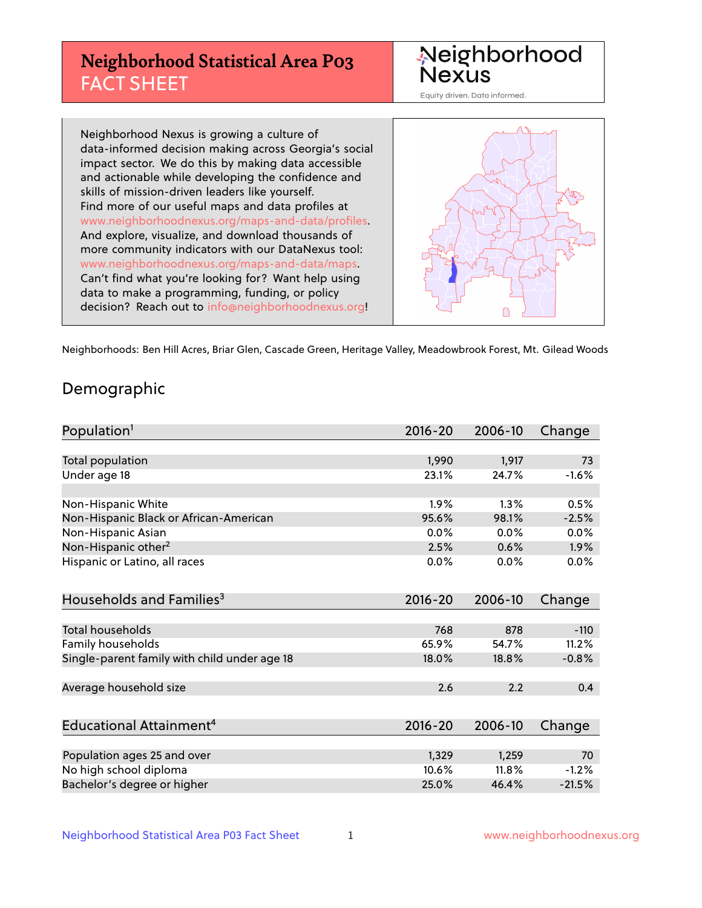# **Neighborhood Statistical Area P03** FACT SHEET



Equity driven. Data informed.

Neighborhood Nexus is growing a culture of data-informed decision making across Georgia's social impact sector. We do this by making data accessible and actionable while developing the confidence and skills of mission-driven leaders like yourself. Find more of our useful maps and data profiles at www.neighborhoodnexus.org/maps-and-data/profiles. And explore, visualize, and download thousands of more community indicators with our DataNexus tool: www.neighborhoodnexus.org/maps-and-data/maps. Can't find what you're looking for? Want help using data to make a programming, funding, or policy decision? Reach out to [info@neighborhoodnexus.org!](mailto:info@neighborhoodnexus.org)



Neighborhoods: Ben Hill Acres, Briar Glen, Cascade Green, Heritage Valley, Meadowbrook Forest, Mt. Gilead Woods

### Demographic

| Population <sup>1</sup>                      | $2016 - 20$ | 2006-10 | Change   |
|----------------------------------------------|-------------|---------|----------|
|                                              |             |         |          |
| <b>Total population</b>                      | 1,990       | 1,917   | 73       |
| Under age 18                                 | 23.1%       | 24.7%   | $-1.6%$  |
|                                              |             |         |          |
| Non-Hispanic White                           | 1.9%        | 1.3%    | 0.5%     |
| Non-Hispanic Black or African-American       | 95.6%       | 98.1%   | $-2.5%$  |
| Non-Hispanic Asian                           | $0.0\%$     | 0.0%    | 0.0%     |
| Non-Hispanic other <sup>2</sup>              | 2.5%        | 0.6%    | $1.9\%$  |
| Hispanic or Latino, all races                | 0.0%        | 0.0%    | 0.0%     |
|                                              |             |         |          |
| Households and Families <sup>3</sup>         | $2016 - 20$ | 2006-10 | Change   |
|                                              |             |         |          |
| Total households                             | 768         | 878     | $-110$   |
| Family households                            | 65.9%       | 54.7%   | 11.2%    |
| Single-parent family with child under age 18 | 18.0%       | 18.8%   | $-0.8%$  |
|                                              |             |         |          |
| Average household size                       | 2.6         | 2.2     | 0.4      |
|                                              |             |         |          |
| Educational Attainment <sup>4</sup>          | $2016 - 20$ | 2006-10 | Change   |
|                                              |             |         |          |
| Population ages 25 and over                  | 1,329       | 1,259   | 70       |
| No high school diploma                       | 10.6%       | 11.8%   | $-1.2%$  |
| Bachelor's degree or higher                  | 25.0%       | 46.4%   | $-21.5%$ |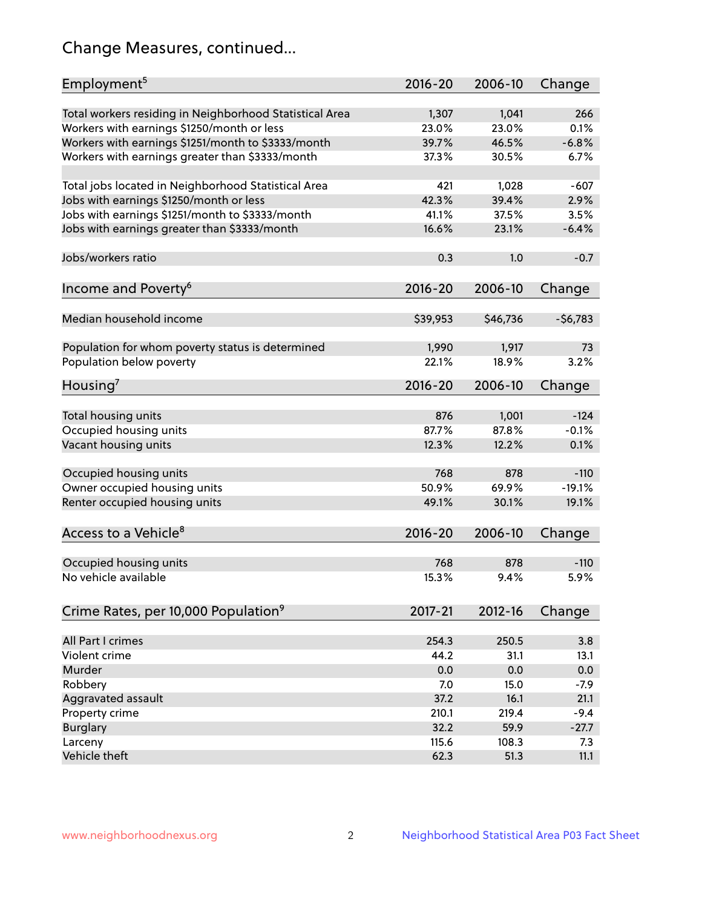# Change Measures, continued...

| Employment <sup>5</sup>                                 | $2016 - 20$    | 2006-10        | Change    |
|---------------------------------------------------------|----------------|----------------|-----------|
|                                                         |                |                | 266       |
| Total workers residing in Neighborhood Statistical Area | 1,307<br>23.0% | 1,041<br>23.0% | 0.1%      |
| Workers with earnings \$1250/month or less              | 39.7%          | 46.5%          | $-6.8%$   |
| Workers with earnings \$1251/month to \$3333/month      | 37.3%          | 30.5%          | 6.7%      |
| Workers with earnings greater than \$3333/month         |                |                |           |
| Total jobs located in Neighborhood Statistical Area     | 421            | 1,028          | $-607$    |
| Jobs with earnings \$1250/month or less                 | 42.3%          | 39.4%          | 2.9%      |
| Jobs with earnings \$1251/month to \$3333/month         | 41.1%          | 37.5%          | 3.5%      |
| Jobs with earnings greater than \$3333/month            | 16.6%          | 23.1%          | $-6.4%$   |
|                                                         |                |                |           |
| Jobs/workers ratio                                      | 0.3            | 1.0            | $-0.7$    |
|                                                         |                |                |           |
| Income and Poverty <sup>6</sup>                         | 2016-20        | 2006-10        | Change    |
|                                                         |                |                |           |
| Median household income                                 | \$39,953       | \$46,736       | $-56,783$ |
|                                                         |                |                |           |
| Population for whom poverty status is determined        | 1,990          | 1,917          | 73        |
| Population below poverty                                | 22.1%          | 18.9%          | 3.2%      |
|                                                         | 2016-20        | 2006-10        |           |
| Housing <sup>7</sup>                                    |                |                | Change    |
| Total housing units                                     | 876            | 1,001          | $-124$    |
| Occupied housing units                                  | 87.7%          | 87.8%          | $-0.1%$   |
| Vacant housing units                                    | 12.3%          | 12.2%          | 0.1%      |
|                                                         |                |                |           |
| Occupied housing units                                  | 768            | 878            | $-110$    |
| Owner occupied housing units                            | 50.9%          | 69.9%          | $-19.1%$  |
| Renter occupied housing units                           | 49.1%          | 30.1%          | 19.1%     |
|                                                         |                |                |           |
| Access to a Vehicle <sup>8</sup>                        | $2016 - 20$    | 2006-10        | Change    |
|                                                         |                |                |           |
| Occupied housing units                                  | 768            | 878            | $-110$    |
| No vehicle available                                    | 15.3%          | 9.4%           | 5.9%      |
|                                                         |                |                |           |
| Crime Rates, per 10,000 Population <sup>9</sup>         | 2017-21        | 2012-16        | Change    |
|                                                         |                |                |           |
| All Part I crimes                                       | 254.3          | 250.5          | 3.8       |
| Violent crime                                           | 44.2           | 31.1           | 13.1      |
| Murder                                                  | 0.0            | 0.0            | 0.0       |
| Robbery                                                 | 7.0            | 15.0           | $-7.9$    |
| Aggravated assault                                      | 37.2           | 16.1           | 21.1      |
| Property crime                                          | 210.1          | 219.4          | $-9.4$    |
| <b>Burglary</b>                                         | 32.2           | 59.9           | $-27.7$   |
| Larceny                                                 | 115.6          | 108.3          | 7.3       |
| Vehicle theft                                           | 62.3           | 51.3           | 11.1      |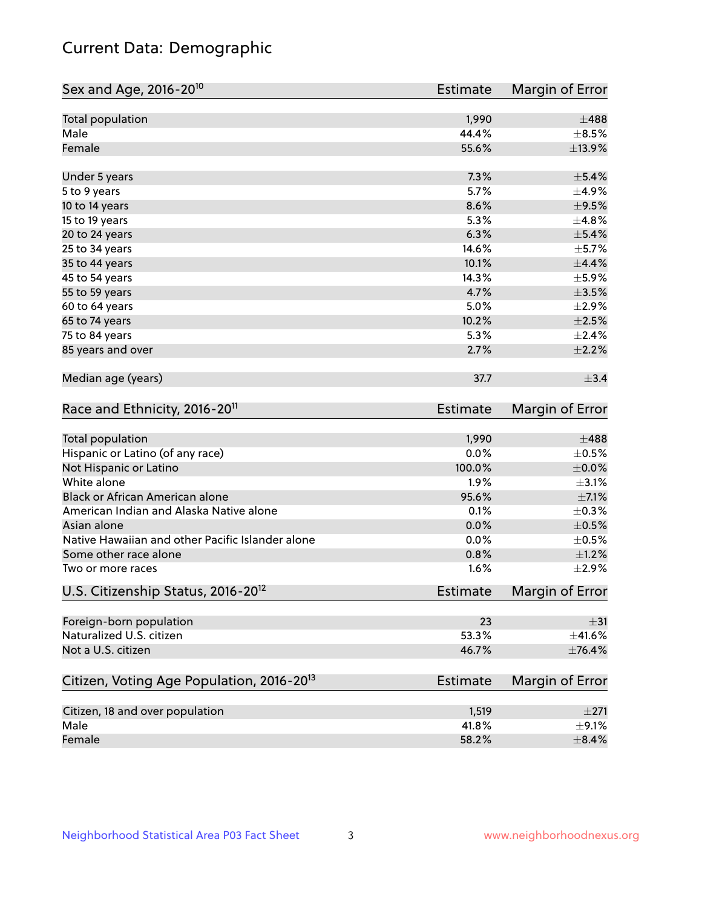# Current Data: Demographic

| Sex and Age, 2016-20 <sup>10</sup>                    | Estimate        | Margin of Error |
|-------------------------------------------------------|-----------------|-----------------|
| Total population                                      | 1,990           | $\pm$ 488       |
| Male                                                  | 44.4%           | $\pm$ 8.5%      |
| Female                                                | 55.6%           | ±13.9%          |
| Under 5 years                                         | 7.3%            | $\pm$ 5.4%      |
| 5 to 9 years                                          | 5.7%            | $\pm$ 4.9%      |
| 10 to 14 years                                        | 8.6%            | $\pm$ 9.5%      |
| 15 to 19 years                                        | 5.3%            | ±4.8%           |
| 20 to 24 years                                        | 6.3%            | $\pm$ 5.4%      |
| 25 to 34 years                                        | 14.6%           | $\pm$ 5.7%      |
| 35 to 44 years                                        | 10.1%           | $\pm$ 4.4%      |
| 45 to 54 years                                        | 14.3%           | $\pm$ 5.9%      |
| 55 to 59 years                                        | 4.7%            | $\pm 3.5\%$     |
| 60 to 64 years                                        | 5.0%            | ±2.9%           |
| 65 to 74 years                                        | 10.2%           | $\pm 2.5\%$     |
| 75 to 84 years                                        | 5.3%            | $\pm 2.4\%$     |
| 85 years and over                                     | 2.7%            | $\pm 2.2\%$     |
| Median age (years)                                    | 37.7            | $\pm$ 3.4       |
| Race and Ethnicity, 2016-20 <sup>11</sup>             | <b>Estimate</b> | Margin of Error |
| Total population                                      | 1,990           | $\pm$ 488       |
| Hispanic or Latino (of any race)                      | 0.0%            | $\pm$ 0.5%      |
| Not Hispanic or Latino                                | 100.0%          | $\pm$ 0.0%      |
| White alone                                           | 1.9%            | $\pm$ 3.1%      |
| Black or African American alone                       | 95.6%           | $\pm$ 7.1%      |
| American Indian and Alaska Native alone               | 0.1%            | $\pm$ 0.3%      |
| Asian alone                                           | 0.0%            | $\pm$ 0.5%      |
| Native Hawaiian and other Pacific Islander alone      | 0.0%            | $\pm$ 0.5%      |
| Some other race alone                                 | 0.8%            | $\pm 1.2\%$     |
| Two or more races                                     | 1.6%            | ±2.9%           |
| U.S. Citizenship Status, 2016-20 <sup>12</sup>        | <b>Estimate</b> | Margin of Error |
| Foreign-born population                               | 23              | $\pm$ 31        |
| Naturalized U.S. citizen                              | 53.3%           | $\pm$ 41.6%     |
| Not a U.S. citizen                                    | 46.7%           | ±76.4%          |
| Citizen, Voting Age Population, 2016-20 <sup>13</sup> | Estimate        | Margin of Error |
| Citizen, 18 and over population                       | 1,519           | ±271            |
| Male                                                  | 41.8%           | $\pm$ 9.1%      |
| Female                                                | 58.2%           | $\pm$ 8.4%      |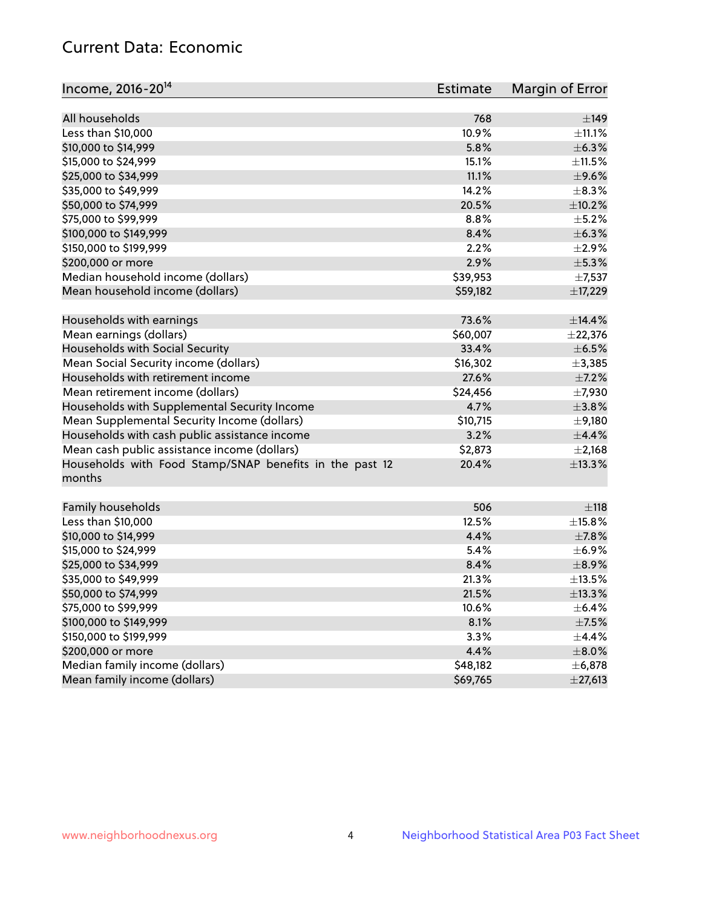# Current Data: Economic

| Income, 2016-20 <sup>14</sup>                           | Estimate | Margin of Error |
|---------------------------------------------------------|----------|-----------------|
|                                                         |          |                 |
| All households                                          | 768      | $\pm$ 149       |
| Less than \$10,000                                      | 10.9%    | $\pm$ 11.1%     |
| \$10,000 to \$14,999                                    | 5.8%     | ±6.3%           |
| \$15,000 to \$24,999                                    | 15.1%    | ±11.5%          |
| \$25,000 to \$34,999                                    | 11.1%    | $\pm$ 9.6%      |
| \$35,000 to \$49,999                                    | 14.2%    | $\pm$ 8.3%      |
| \$50,000 to \$74,999                                    | 20.5%    | $\pm$ 10.2%     |
| \$75,000 to \$99,999                                    | 8.8%     | $\pm$ 5.2%      |
| \$100,000 to \$149,999                                  | 8.4%     | ±6.3%           |
| \$150,000 to \$199,999                                  | 2.2%     | $\pm 2.9\%$     |
| \$200,000 or more                                       | 2.9%     | $\pm$ 5.3%      |
| Median household income (dollars)                       | \$39,953 | $\pm$ 7,537     |
| Mean household income (dollars)                         | \$59,182 | ±17,229         |
| Households with earnings                                | 73.6%    | ±14.4%          |
| Mean earnings (dollars)                                 | \$60,007 | $±$ 22,376      |
| Households with Social Security                         | 33.4%    | $\pm$ 6.5%      |
| Mean Social Security income (dollars)                   | \$16,302 | ±3,385          |
| Households with retirement income                       | 27.6%    | $\pm$ 7.2%      |
| Mean retirement income (dollars)                        | \$24,456 | $\pm$ 7,930     |
| Households with Supplemental Security Income            | 4.7%     | ±3.8%           |
| Mean Supplemental Security Income (dollars)             | \$10,715 | ±9,180          |
| Households with cash public assistance income           | 3.2%     | ±4.4%           |
| Mean cash public assistance income (dollars)            | \$2,873  | $\pm 2,168$     |
| Households with Food Stamp/SNAP benefits in the past 12 | 20.4%    | ±13.3%          |
| months                                                  |          |                 |
| Family households                                       | 506      | ±118            |
| Less than \$10,000                                      | 12.5%    | $\pm$ 15.8%     |
| \$10,000 to \$14,999                                    | 4.4%     | $\pm$ 7.8%      |
| \$15,000 to \$24,999                                    | 5.4%     | $\pm$ 6.9%      |
| \$25,000 to \$34,999                                    | 8.4%     | $\pm$ 8.9%      |
| \$35,000 to \$49,999                                    | 21.3%    | ±13.5%          |
|                                                         |          |                 |
| \$50,000 to \$74,999<br>\$75,000 to \$99,999            | 21.5%    | ±13.3%          |
|                                                         | 10.6%    | $\pm$ 6.4%      |
| \$100,000 to \$149,999                                  | 8.1%     | $\pm$ 7.5%      |
| \$150,000 to \$199,999                                  | 3.3%     | $\pm$ 4.4%      |
| \$200,000 or more                                       | 4.4%     | $\pm$ 8.0%      |
| Median family income (dollars)                          | \$48,182 | ±6,878          |
| Mean family income (dollars)                            | \$69,765 | $±$ 27,613      |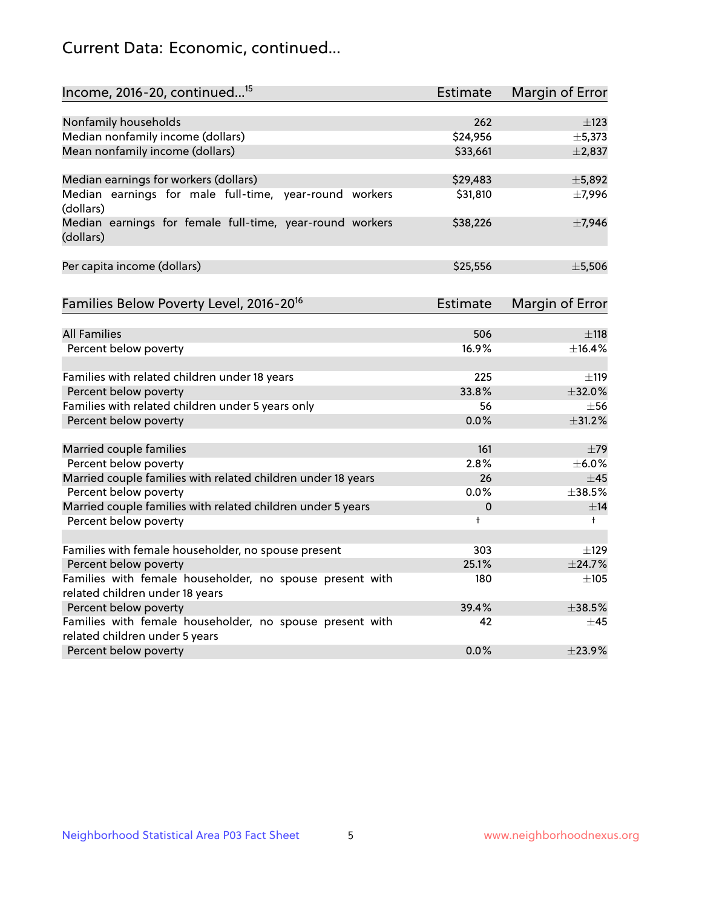# Current Data: Economic, continued...

| Income, 2016-20, continued <sup>15</sup>                              | <b>Estimate</b> | Margin of Error |
|-----------------------------------------------------------------------|-----------------|-----------------|
|                                                                       |                 |                 |
| Nonfamily households                                                  | 262             | $\pm$ 123       |
| Median nonfamily income (dollars)                                     | \$24,956        | ±5,373          |
| Mean nonfamily income (dollars)                                       | \$33,661        | $\pm 2,837$     |
| Median earnings for workers (dollars)                                 | \$29,483        | ±5,892          |
| Median earnings for male full-time, year-round workers<br>(dollars)   | \$31,810        | $\pm$ 7,996     |
| Median earnings for female full-time, year-round workers<br>(dollars) | \$38,226        | ±7,946          |
| Per capita income (dollars)                                           | \$25,556        | ±5,506          |
| Families Below Poverty Level, 2016-20 <sup>16</sup>                   | <b>Estimate</b> | Margin of Error |
|                                                                       |                 |                 |
| <b>All Families</b>                                                   | 506             | $\pm$ 118       |
| Percent below poverty                                                 | 16.9%           | ±16.4%          |
| Families with related children under 18 years                         | 225             | ±119            |
| Percent below poverty                                                 | 33.8%           | ±32.0%          |
| Families with related children under 5 years only                     | 56              | $\pm$ 56        |
| Percent below poverty                                                 | 0.0%            | ±31.2%          |
| Married couple families                                               | 161             | $\pm$ 79        |
| Percent below poverty                                                 | 2.8%            | $\pm$ 6.0%      |
| Married couple families with related children under 18 years          | 26              | $\pm$ 45        |
| Percent below poverty                                                 | $0.0\%$         | ±38.5%          |
| Married couple families with related children under 5 years           | 0               | ±14             |
| Percent below poverty                                                 | $\ddagger$      | $\ddagger$      |
| Families with female householder, no spouse present                   | 303             | $\pm$ 129       |
| Percent below poverty                                                 | 25.1%           | ±24.7%          |
| Families with female householder, no spouse present with              | 180             | $+105$          |
| related children under 18 years                                       |                 |                 |
| Percent below poverty                                                 | 39.4%           | $+38.5%$        |
| Families with female householder, no spouse present with              | 42              | $\pm$ 45        |
| related children under 5 years                                        |                 |                 |
| Percent below poverty                                                 | 0.0%            | ±23.9%          |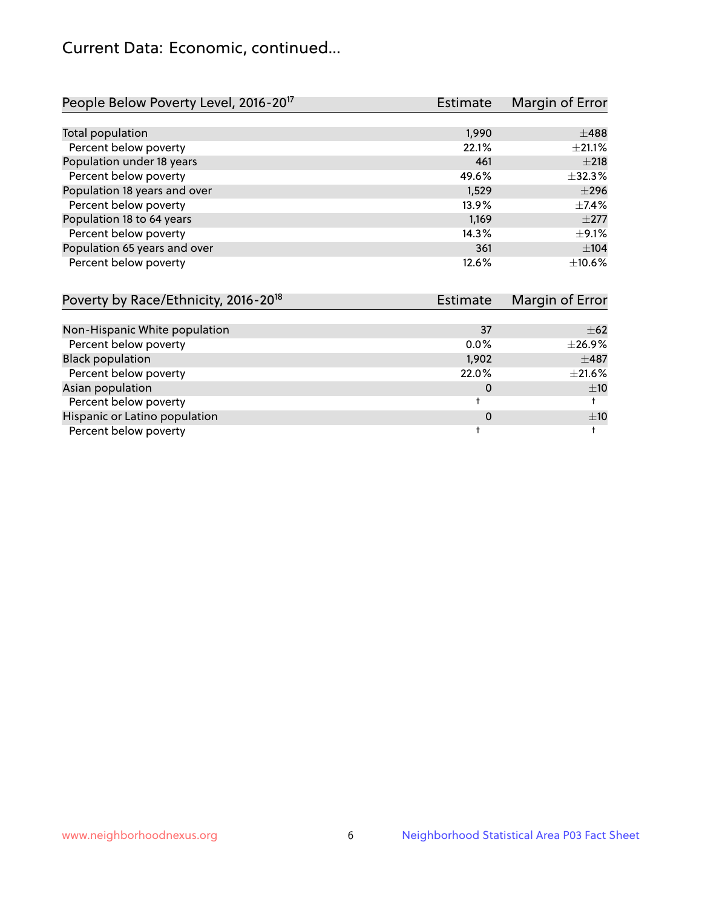# Current Data: Economic, continued...

| People Below Poverty Level, 2016-20 <sup>17</sup> | <b>Estimate</b> | Margin of Error |
|---------------------------------------------------|-----------------|-----------------|
|                                                   |                 |                 |
| Total population                                  | 1,990           | $\pm 488$       |
| Percent below poverty                             | 22.1%           | $\pm 21.1\%$    |
| Population under 18 years                         | 461             | $\pm 218$       |
| Percent below poverty                             | 49.6%           | $\pm$ 32.3%     |
| Population 18 years and over                      | 1,529           | $\pm 296$       |
| Percent below poverty                             | 13.9%           | $+7.4%$         |
| Population 18 to 64 years                         | 1.169           | $\pm 277$       |
| Percent below poverty                             | 14.3%           | $\pm$ 9.1%      |
| Population 65 years and over                      | 361             | ±104            |
| Percent below poverty                             | 12.6%           | $+10.6%$        |

| Poverty by Race/Ethnicity, 2016-20 <sup>18</sup><br><b>Estimate</b> |         | Margin of Error |  |
|---------------------------------------------------------------------|---------|-----------------|--|
|                                                                     |         |                 |  |
| Non-Hispanic White population                                       | 37      | $\pm 62$        |  |
| Percent below poverty                                               | $0.0\%$ | $\pm$ 26.9%     |  |
| <b>Black population</b>                                             | 1,902   | $\pm$ 487       |  |
| Percent below poverty                                               | 22.0%   | ±21.6%          |  |
| Asian population                                                    | 0       | ±10             |  |
| Percent below poverty                                               |         |                 |  |
| Hispanic or Latino population                                       | 0       | ±10             |  |
| Percent below poverty                                               |         |                 |  |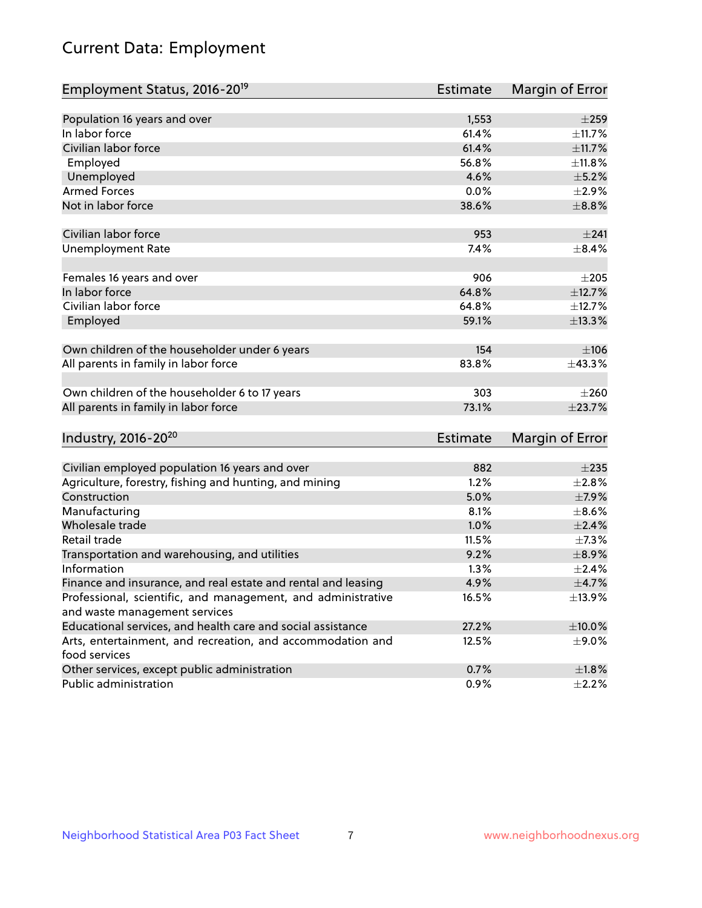# Current Data: Employment

| Employment Status, 2016-20 <sup>19</sup>                                    | <b>Estimate</b> | Margin of Error |
|-----------------------------------------------------------------------------|-----------------|-----------------|
|                                                                             |                 |                 |
| Population 16 years and over                                                | 1,553           | $\pm 259$       |
| In labor force                                                              | 61.4%           | ±11.7%          |
| Civilian labor force                                                        | 61.4%           | ±11.7%          |
| Employed                                                                    | 56.8%           | ±11.8%          |
| Unemployed                                                                  | 4.6%            | $\pm$ 5.2%      |
| <b>Armed Forces</b>                                                         | 0.0%            | $\pm 2.9\%$     |
| Not in labor force                                                          | 38.6%           | $\pm$ 8.8%      |
| Civilian labor force                                                        | 953             | ±241            |
| <b>Unemployment Rate</b>                                                    | 7.4%            | $\pm$ 8.4%      |
| Females 16 years and over                                                   | 906             | $\pm 205$       |
| In labor force                                                              | 64.8%           | ±12.7%          |
| Civilian labor force                                                        | 64.8%           | ±12.7%          |
| Employed                                                                    | 59.1%           | ±13.3%          |
| Own children of the householder under 6 years                               | 154             | $\pm 106$       |
| All parents in family in labor force                                        | 83.8%           | ±43.3%          |
| Own children of the householder 6 to 17 years                               | 303             | $\pm 260$       |
| All parents in family in labor force                                        | 73.1%           | ±23.7%          |
| Industry, 2016-20 <sup>20</sup>                                             | <b>Estimate</b> | Margin of Error |
|                                                                             |                 |                 |
| Civilian employed population 16 years and over                              | 882             | $\pm 235$       |
| Agriculture, forestry, fishing and hunting, and mining                      | 1.2%            | $\pm 2.8\%$     |
| Construction                                                                | 5.0%            | $\pm$ 7.9%      |
| Manufacturing                                                               | 8.1%            | $\pm$ 8.6%      |
| Wholesale trade                                                             | 1.0%            | $\pm 2.4\%$     |
| Retail trade                                                                | 11.5%           | $\pm$ 7.3%      |
| Transportation and warehousing, and utilities                               | 9.2%            | $\pm$ 8.9%      |
| Information                                                                 | 1.3%            | $\pm 2.4\%$     |
| Finance and insurance, and real estate and rental and leasing               | 4.9%            | ±4.7%           |
| Professional, scientific, and management, and administrative                | 16.5%           | ±13.9%          |
| and waste management services                                               |                 |                 |
| Educational services, and health care and social assistance                 | 27.2%           | $\pm 10.0\%$    |
| Arts, entertainment, and recreation, and accommodation and<br>food services | 12.5%           | $\pm$ 9.0%      |
| Other services, except public administration                                | 0.7%            | $\pm 1.8\%$     |
| Public administration                                                       | 0.9%            | $\pm$ 2.2%      |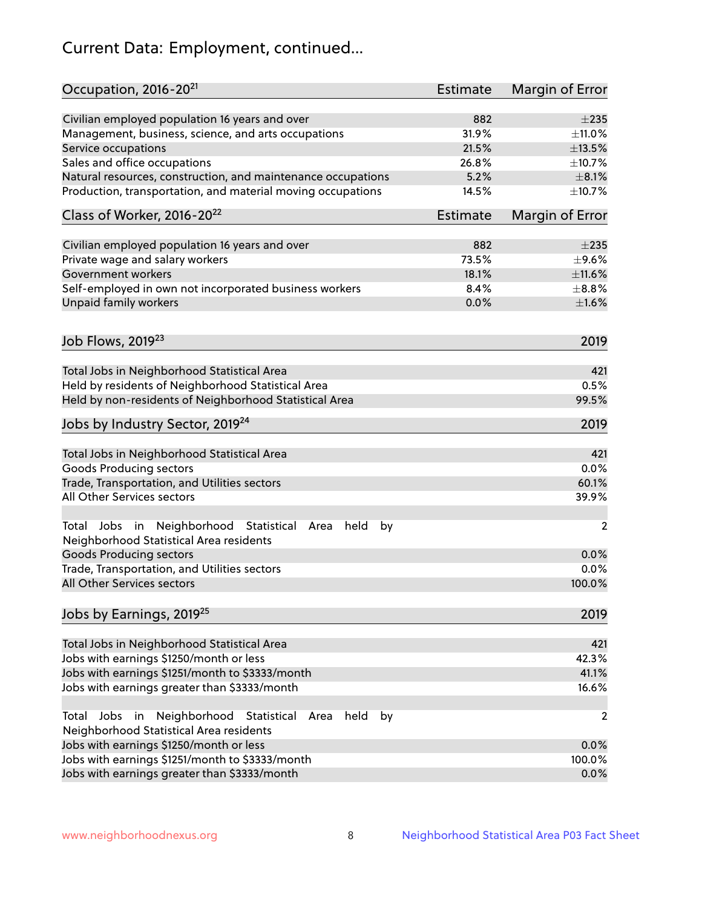# Current Data: Employment, continued...

| Occupation, 2016-20 <sup>21</sup>                                                                       | <b>Estimate</b> | Margin of Error |
|---------------------------------------------------------------------------------------------------------|-----------------|-----------------|
| Civilian employed population 16 years and over                                                          | 882             | $\pm 235$       |
| Management, business, science, and arts occupations                                                     | 31.9%           | $\pm$ 11.0%     |
| Service occupations                                                                                     | 21.5%           | $\pm$ 13.5%     |
| Sales and office occupations                                                                            | 26.8%           | ±10.7%          |
| Natural resources, construction, and maintenance occupations                                            | 5.2%            | $\pm 8.1\%$     |
| Production, transportation, and material moving occupations                                             | 14.5%           | ±10.7%          |
| Class of Worker, 2016-20 <sup>22</sup>                                                                  | Estimate        | Margin of Error |
| Civilian employed population 16 years and over                                                          | 882             | $\pm 235$       |
| Private wage and salary workers                                                                         | 73.5%           | $\pm$ 9.6%      |
| Government workers                                                                                      | 18.1%           | $\pm$ 11.6%     |
| Self-employed in own not incorporated business workers                                                  | 8.4%            | $\pm$ 8.8%      |
| Unpaid family workers                                                                                   | 0.0%            | $\pm1.6\%$      |
|                                                                                                         |                 |                 |
| Job Flows, 2019 <sup>23</sup>                                                                           |                 | 2019            |
| Total Jobs in Neighborhood Statistical Area                                                             |                 | 421             |
| Held by residents of Neighborhood Statistical Area                                                      |                 | 0.5%            |
| Held by non-residents of Neighborhood Statistical Area                                                  |                 | 99.5%           |
| Jobs by Industry Sector, 2019 <sup>24</sup>                                                             |                 | 2019            |
| Total Jobs in Neighborhood Statistical Area                                                             |                 | 421             |
| <b>Goods Producing sectors</b>                                                                          |                 | 0.0%            |
| Trade, Transportation, and Utilities sectors                                                            |                 | 60.1%           |
| All Other Services sectors                                                                              |                 | 39.9%           |
| Total Jobs in Neighborhood Statistical<br>held<br>by<br>Area<br>Neighborhood Statistical Area residents |                 | $\overline{2}$  |
| <b>Goods Producing sectors</b>                                                                          |                 | 0.0%            |
| Trade, Transportation, and Utilities sectors                                                            |                 | 0.0%            |
| All Other Services sectors                                                                              |                 | 100.0%          |
| Jobs by Earnings, 2019 <sup>25</sup>                                                                    |                 | 2019            |
| Total Jobs in Neighborhood Statistical Area                                                             |                 | 421             |
| Jobs with earnings \$1250/month or less                                                                 |                 | 42.3%           |
| Jobs with earnings \$1251/month to \$3333/month                                                         |                 | 41.1%           |
| Jobs with earnings greater than \$3333/month                                                            |                 | 16.6%           |
| Neighborhood Statistical<br>Jobs<br>in<br>held<br>by<br>Total<br>Area                                   |                 | 2               |
| Neighborhood Statistical Area residents                                                                 |                 |                 |
| Jobs with earnings \$1250/month or less                                                                 |                 | 0.0%            |
| Jobs with earnings \$1251/month to \$3333/month                                                         |                 | 100.0%          |
| Jobs with earnings greater than \$3333/month                                                            |                 | 0.0%            |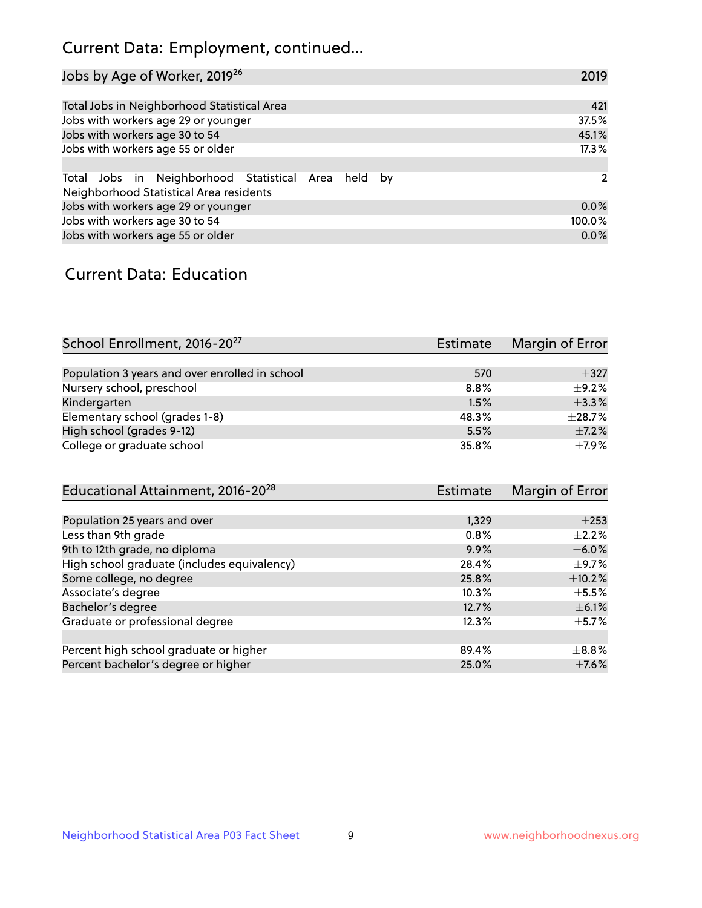# Current Data: Employment, continued...

| Jobs by Age of Worker, 2019 <sup>26</sup>                                                      | 2019   |
|------------------------------------------------------------------------------------------------|--------|
|                                                                                                |        |
| Total Jobs in Neighborhood Statistical Area                                                    | 421    |
| Jobs with workers age 29 or younger                                                            | 37.5%  |
| Jobs with workers age 30 to 54                                                                 | 45.1%  |
| Jobs with workers age 55 or older                                                              | 17.3%  |
|                                                                                                |        |
| Total Jobs in Neighborhood Statistical Area held by<br>Neighborhood Statistical Area residents | 2      |
| Jobs with workers age 29 or younger                                                            | 0.0%   |
| Jobs with workers age 30 to 54                                                                 | 100.0% |
| Jobs with workers age 55 or older                                                              | 0.0%   |

### Current Data: Education

| School Enrollment, 2016-20 <sup>27</sup>       | <b>Estimate</b> | Margin of Error |
|------------------------------------------------|-----------------|-----------------|
|                                                |                 |                 |
| Population 3 years and over enrolled in school | 570             | $+327$          |
| Nursery school, preschool                      | $8.8\%$         | $\pm$ 9.2%      |
| Kindergarten                                   | 1.5%            | ±3.3%           |
| Elementary school (grades 1-8)                 | 48.3%           | $\pm 28.7\%$    |
| High school (grades 9-12)                      | 5.5%            | $\pm$ 7.2%      |
| College or graduate school                     | 35.8%           | $\pm$ 7.9%      |

| Educational Attainment, 2016-20 <sup>28</sup> | Estimate | Margin of Error |
|-----------------------------------------------|----------|-----------------|
|                                               |          |                 |
| Population 25 years and over                  | 1.329    | $\pm 253$       |
| Less than 9th grade                           | 0.8%     | $\pm 2.2\%$     |
| 9th to 12th grade, no diploma                 | 9.9%     | $\pm$ 6.0%      |
| High school graduate (includes equivalency)   | 28.4%    | $\pm$ 9.7%      |
| Some college, no degree                       | 25.8%    | ±10.2%          |
| Associate's degree                            | 10.3%    | $\pm$ 5.5%      |
| Bachelor's degree                             | 12.7%    | $\pm$ 6.1%      |
| Graduate or professional degree               | 12.3%    | $\pm$ 5.7%      |
|                                               |          |                 |
| Percent high school graduate or higher        | 89.4%    | $\pm$ 8.8%      |
| Percent bachelor's degree or higher           | 25.0%    | $\pm$ 7.6%      |
|                                               |          |                 |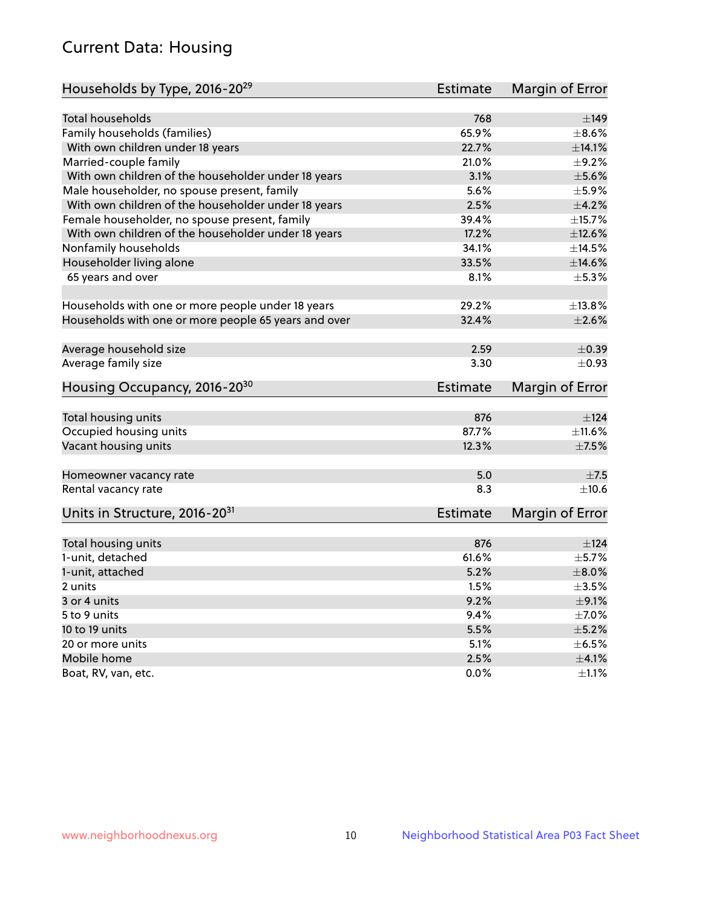# Current Data: Housing

| Households by Type, 2016-20 <sup>29</sup>            | <b>Estimate</b> | Margin of Error |
|------------------------------------------------------|-----------------|-----------------|
|                                                      |                 |                 |
| <b>Total households</b>                              | 768             | ±149            |
| Family households (families)                         | 65.9%           | $\pm$ 8.6%      |
| With own children under 18 years                     | 22.7%           | ±14.1%          |
| Married-couple family                                | 21.0%           | $\pm$ 9.2%      |
| With own children of the householder under 18 years  | 3.1%            | $\pm$ 5.6%      |
| Male householder, no spouse present, family          | 5.6%            | $\pm$ 5.9%      |
| With own children of the householder under 18 years  | 2.5%            | $\pm$ 4.2%      |
| Female householder, no spouse present, family        | 39.4%           | ±15.7%          |
| With own children of the householder under 18 years  | 17.2%           | $\pm$ 12.6%     |
| Nonfamily households                                 | 34.1%           | ±14.5%          |
| Householder living alone                             | 33.5%           | ±14.6%          |
| 65 years and over                                    | 8.1%            | $\pm$ 5.3%      |
|                                                      |                 |                 |
| Households with one or more people under 18 years    | 29.2%           | ±13.8%          |
| Households with one or more people 65 years and over | 32.4%           | $\pm 2.6\%$     |
|                                                      |                 |                 |
| Average household size                               | 2.59            | $\pm$ 0.39      |
| Average family size                                  | 3.30            | $\pm$ 0.93      |
| Housing Occupancy, 2016-20 <sup>30</sup>             | <b>Estimate</b> | Margin of Error |
|                                                      |                 |                 |
| Total housing units                                  | 876             | ±124            |
| Occupied housing units                               | 87.7%           | $\pm$ 11.6%     |
| Vacant housing units                                 | 12.3%           | $\pm$ 7.5%      |
|                                                      |                 |                 |
| Homeowner vacancy rate                               | 5.0             | ±7.5            |
| Rental vacancy rate                                  | 8.3             | $\pm$ 10.6      |
| Units in Structure, 2016-20 <sup>31</sup>            | <b>Estimate</b> | Margin of Error |
|                                                      |                 |                 |
| Total housing units                                  | 876             | ±124            |
| 1-unit, detached                                     | 61.6%           | $\pm$ 5.7%      |
| 1-unit, attached                                     | 5.2%            | $\pm$ 8.0%      |
| 2 units                                              | 1.5%            | $\pm$ 3.5%      |
| 3 or 4 units                                         | 9.2%            | $\pm$ 9.1%      |
| 5 to 9 units                                         | 9.4%            | $\pm$ 7.0%      |
| 10 to 19 units                                       | 5.5%            | $\pm$ 5.2%      |
| 20 or more units                                     | 5.1%            | $\pm$ 6.5%      |
| Mobile home                                          | 2.5%            | $\pm 4.1\%$     |
| Boat, RV, van, etc.                                  | $0.0\%$         | $\pm 1.1\%$     |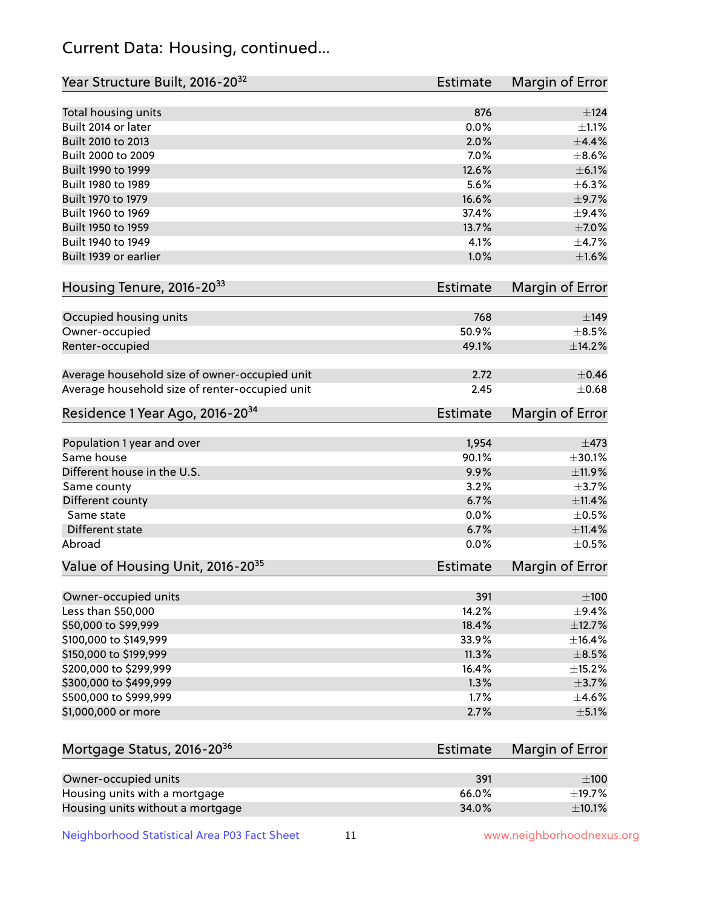# Current Data: Housing, continued...

| Year Structure Built, 2016-20 <sup>32</sup>    | <b>Estimate</b> | Margin of Error |
|------------------------------------------------|-----------------|-----------------|
| Total housing units                            | 876             | ±124            |
| Built 2014 or later                            | 0.0%            | $\pm 1.1\%$     |
| Built 2010 to 2013                             | 2.0%            | $\pm$ 4.4%      |
| Built 2000 to 2009                             | 7.0%            | $\pm$ 8.6%      |
| Built 1990 to 1999                             | 12.6%           | $\pm$ 6.1%      |
| Built 1980 to 1989                             | 5.6%            | ±6.3%           |
| Built 1970 to 1979                             | 16.6%           | $\pm$ 9.7%      |
| Built 1960 to 1969                             | 37.4%           | $\pm$ 9.4%      |
| Built 1950 to 1959                             | 13.7%           | $\pm$ 7.0%      |
| Built 1940 to 1949                             | 4.1%            | $\pm$ 4.7%      |
| Built 1939 or earlier                          | 1.0%            | $\pm1.6\%$      |
| Housing Tenure, 2016-2033                      | <b>Estimate</b> | Margin of Error |
| Occupied housing units                         | 768             | $\pm$ 149       |
| Owner-occupied                                 | 50.9%           | $\pm$ 8.5%      |
| Renter-occupied                                | 49.1%           | ±14.2%          |
| Average household size of owner-occupied unit  | 2.72            | $\pm$ 0.46      |
| Average household size of renter-occupied unit | 2.45            | $\pm$ 0.68      |
| Residence 1 Year Ago, 2016-20 <sup>34</sup>    | <b>Estimate</b> | Margin of Error |
|                                                |                 |                 |
| Population 1 year and over                     | 1,954           | $\pm$ 473       |
| Same house                                     | 90.1%           | ±30.1%          |
| Different house in the U.S.                    | 9.9%            | ±11.9%          |
| Same county                                    | 3.2%            | $\pm$ 3.7%      |
| Different county                               | 6.7%            | $\pm$ 11.4%     |
| Same state                                     | 0.0%            | $\pm$ 0.5%      |
| Different state                                | 6.7%            | $\pm$ 11.4%     |
| Abroad                                         | 0.0%            | $\pm$ 0.5%      |
| Value of Housing Unit, 2016-20 <sup>35</sup>   | <b>Estimate</b> | Margin of Error |
| Owner-occupied units                           | 391             | $\pm 100$       |
| Less than \$50,000                             | 14.2%           | $\pm$ 9.4%      |
| \$50,000 to \$99,999                           | 18.4%           | ±12.7%          |
| \$100,000 to \$149,999                         | 33.9%           | ±16.4%          |
| \$150,000 to \$199,999                         | 11.3%           | $\pm$ 8.5%      |
| \$200,000 to \$299,999                         | 16.4%           | ±15.2%          |
| \$300,000 to \$499,999                         | 1.3%            | $\pm$ 3.7%      |
| \$500,000 to \$999,999                         | 1.7%            | $\pm$ 4.6%      |
| \$1,000,000 or more                            | 2.7%            | $\pm$ 5.1%      |
| Mortgage Status, 2016-20 <sup>36</sup>         | <b>Estimate</b> | Margin of Error |
|                                                |                 |                 |
| Owner-occupied units                           | 391             | $\pm 100$       |
| Housing units with a mortgage                  | 66.0%           | $\pm$ 19.7%     |
| Housing units without a mortgage               | 34.0%           | $\pm$ 10.1%     |

Neighborhood Statistical Area P03 Fact Sheet 11 11 www.neighborhoodnexus.org

Housing units without a mortgage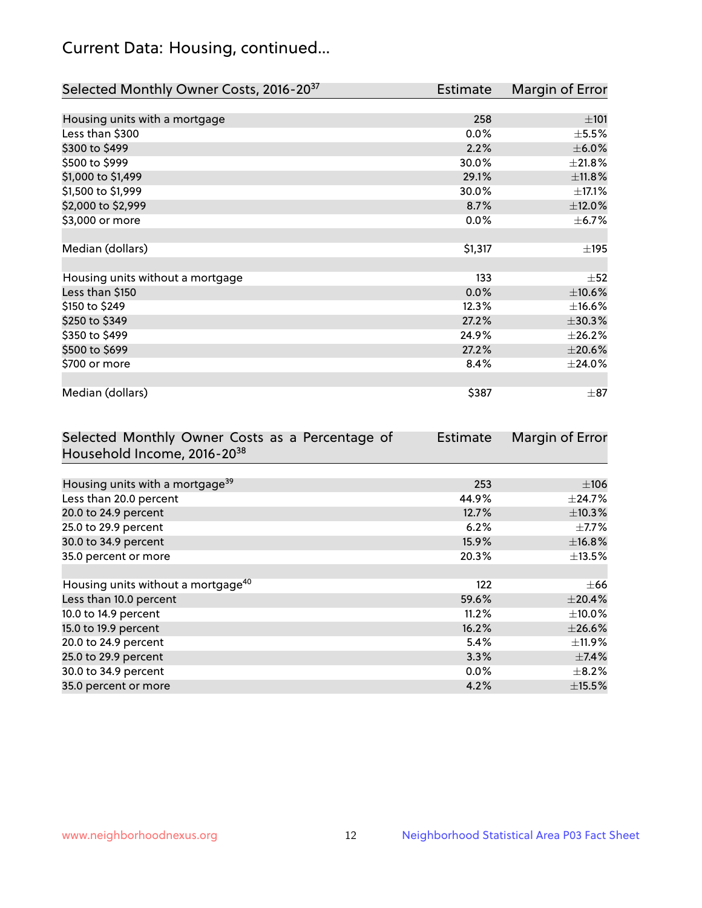# Current Data: Housing, continued...

| Selected Monthly Owner Costs, 2016-20 <sup>37</sup> | <b>Estimate</b> | Margin of Error |
|-----------------------------------------------------|-----------------|-----------------|
|                                                     |                 |                 |
| Housing units with a mortgage                       | 258             | $\pm 101$       |
| Less than \$300                                     | 0.0%            | $\pm$ 5.5%      |
| \$300 to \$499                                      | 2.2%            | $\pm$ 6.0%      |
| \$500 to \$999                                      | 30.0%           | ±21.8%          |
| \$1,000 to \$1,499                                  | 29.1%           | ±11.8%          |
| \$1,500 to \$1,999                                  | 30.0%           | $\pm$ 17.1%     |
| \$2,000 to \$2,999                                  | 8.7%            | $\pm$ 12.0%     |
| \$3,000 or more                                     | 0.0%            | $\pm$ 6.7%      |
|                                                     |                 |                 |
| Median (dollars)                                    | \$1,317         | $\pm$ 195       |
|                                                     |                 |                 |
| Housing units without a mortgage                    | 133             | $\pm$ 52        |
| Less than \$150                                     | 0.0%            | $\pm 10.6\%$    |
| \$150 to \$249                                      | 12.3%           | $\pm$ 16.6%     |
| \$250 to \$349                                      | 27.2%           | $\pm 30.3\%$    |
| \$350 to \$499                                      | 24.9%           | ±26.2%          |
| \$500 to \$699                                      | 27.2%           | $\pm 20.6\%$    |
| \$700 or more                                       | 8.4%            | ±24.0%          |
|                                                     |                 |                 |
| Median (dollars)                                    | \$387           | $\pm$ 87        |

| Selected Monthly Owner Costs as a Percentage of | Estimate | Margin of Error |
|-------------------------------------------------|----------|-----------------|
| Household Income, 2016-20 <sup>38</sup>         |          |                 |
|                                                 |          |                 |
| Housing units with a mortgage <sup>39</sup>     | 253      | $\pm 106$       |
| Less than 20.0 percent                          | 44.9%    | $\pm$ 24.7%     |
| 20.0 to 24.9 percent                            | 12.7%    | ±10.3%          |
| 25.0 to 29.9 percent                            | 6.2%     | $\pm$ 7.7%      |
| 30.0 to 34.9 percent                            | 15.9%    | ±16.8%          |
| 35.0 percent or more                            | 20.3%    | $\pm$ 13.5%     |
|                                                 |          |                 |
| Housing units without a mortgage <sup>40</sup>  | 122      | $\pm 66$        |
| Less than 10.0 percent                          | 59.6%    | ±20.4%          |
| 10.0 to 14.9 percent                            | 11.2%    | $\pm$ 10.0%     |
| 15.0 to 19.9 percent                            | 16.2%    | $\pm 26.6\%$    |
| 20.0 to 24.9 percent                            | 5.4%     | $\pm$ 11.9%     |
| 25.0 to 29.9 percent                            | 3.3%     | $\pm$ 7.4%      |
| 30.0 to 34.9 percent                            | $0.0\%$  | $\pm$ 8.2%      |
| 35.0 percent or more                            | 4.2%     | $\pm$ 15.5%     |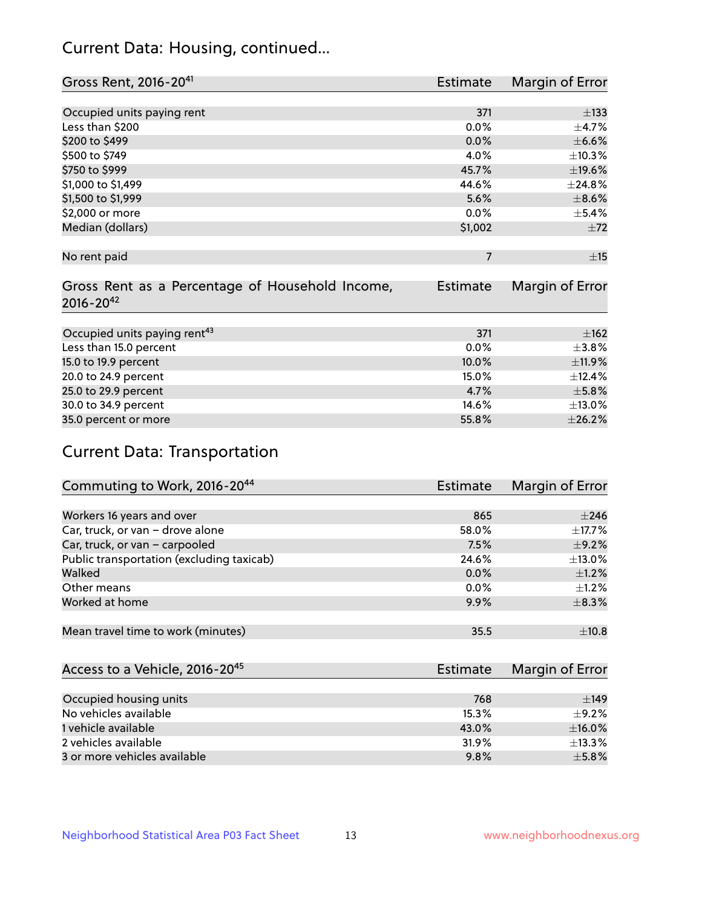# Current Data: Housing, continued...

| Gross Rent, 2016-20 <sup>41</sup>               | <b>Estimate</b> | Margin of Error |
|-------------------------------------------------|-----------------|-----------------|
|                                                 |                 |                 |
| Occupied units paying rent                      | 371             | $\pm 133$       |
| Less than \$200                                 | 0.0%            | ±4.7%           |
| \$200 to \$499                                  | 0.0%            | $\pm$ 6.6%      |
| \$500 to \$749                                  | 4.0%            | ±10.3%          |
| \$750 to \$999                                  | 45.7%           | ±19.6%          |
| \$1,000 to \$1,499                              | 44.6%           | ±24.8%          |
| \$1,500 to \$1,999                              | 5.6%            | $\pm$ 8.6%      |
| \$2,000 or more                                 | 0.0%            | $\pm$ 5.4%      |
| Median (dollars)                                | \$1,002         | $\pm 72$        |
|                                                 |                 |                 |
| No rent paid                                    | $\overline{7}$  | $\pm$ 15        |
|                                                 |                 |                 |
| Gross Rent as a Percentage of Household Income, | <b>Estimate</b> | Margin of Error |
| $2016 - 20^{42}$                                |                 |                 |
|                                                 |                 |                 |
| Occupied units paying rent <sup>43</sup>        | 371             | ±162            |
| Less than 15.0 percent                          | 0.0%            | ±3.8%           |
| 15.0 to 19.9 percent                            | 10.0%           | ±11.9%          |
| 20.0 to 24.9 percent                            | 15.0%           | ±12.4%          |
| 25.0 to 29.9 percent                            | 4.7%            | $\pm$ 5.8%      |
| 30.0 to 34.9 percent                            | 14.6%           | $\pm$ 13.0%     |
| 35.0 percent or more                            | 55.8%           | ±26.2%          |

# Current Data: Transportation

| Commuting to Work, 2016-20 <sup>44</sup>  | Estimate | Margin of Error |
|-------------------------------------------|----------|-----------------|
|                                           |          |                 |
| Workers 16 years and over                 | 865      | $\pm 246$       |
| Car, truck, or van - drove alone          | 58.0%    | $\pm$ 17.7%     |
| Car, truck, or van - carpooled            | 7.5%     | $\pm$ 9.2%      |
| Public transportation (excluding taxicab) | 24.6%    | $\pm$ 13.0%     |
| Walked                                    | $0.0\%$  | $\pm 1.2\%$     |
| Other means                               | 0.0%     | $\pm 1.2\%$     |
| Worked at home                            | 9.9%     | $\pm$ 8.3%      |
|                                           |          |                 |
| Mean travel time to work (minutes)        | 35.5     | ±10.8           |

| Access to a Vehicle, 2016-20 <sup>45</sup> | <b>Estimate</b> | Margin of Error |
|--------------------------------------------|-----------------|-----------------|
|                                            |                 |                 |
| Occupied housing units                     | 768             | $+149$          |
| No vehicles available                      | 15.3%           | $+9.2%$         |
| 1 vehicle available                        | 43.0%           | $\pm$ 16.0%     |
| 2 vehicles available                       | 31.9%           | $\pm$ 13.3%     |
| 3 or more vehicles available               | 9.8%            | $+5.8%$         |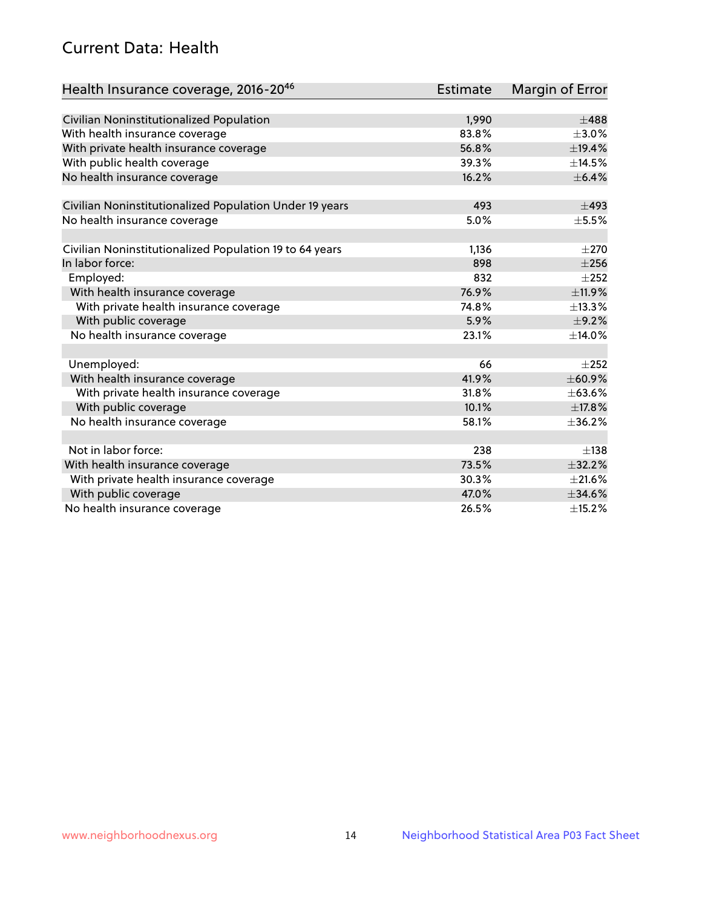# Current Data: Health

| Health Insurance coverage, 2016-2046                    | <b>Estimate</b> | Margin of Error |
|---------------------------------------------------------|-----------------|-----------------|
|                                                         |                 |                 |
| Civilian Noninstitutionalized Population                | 1,990           | $\pm 488$       |
| With health insurance coverage                          | 83.8%           | $\pm 3.0\%$     |
| With private health insurance coverage                  | 56.8%           | ±19.4%          |
| With public health coverage                             | 39.3%           | ±14.5%          |
| No health insurance coverage                            | 16.2%           | $\pm$ 6.4%      |
| Civilian Noninstitutionalized Population Under 19 years | 493             | $\pm$ 493       |
| No health insurance coverage                            | 5.0%            | $\pm$ 5.5%      |
|                                                         |                 |                 |
| Civilian Noninstitutionalized Population 19 to 64 years | 1,136           | $\pm 270$       |
| In labor force:                                         | 898             | $\pm 256$       |
| Employed:                                               | 832             | $\pm 252$       |
| With health insurance coverage                          | 76.9%           | ±11.9%          |
| With private health insurance coverage                  | 74.8%           | ±13.3%          |
| With public coverage                                    | 5.9%            | $\pm$ 9.2%      |
| No health insurance coverage                            | 23.1%           | ±14.0%          |
|                                                         |                 |                 |
| Unemployed:                                             | 66              | $+252$          |
| With health insurance coverage                          | 41.9%           | ±60.9%          |
| With private health insurance coverage                  | 31.8%           | ±63.6%          |
| With public coverage                                    | 10.1%           | ±17.8%          |
| No health insurance coverage                            | 58.1%           | $\pm$ 36.2%     |
|                                                         |                 |                 |
| Not in labor force:                                     | 238             | $\pm$ 138       |
| With health insurance coverage                          | 73.5%           | ±32.2%          |
| With private health insurance coverage                  | 30.3%           | $\pm 21.6\%$    |
| With public coverage                                    | 47.0%           | $\pm$ 34.6%     |
| No health insurance coverage                            | 26.5%           | ±15.2%          |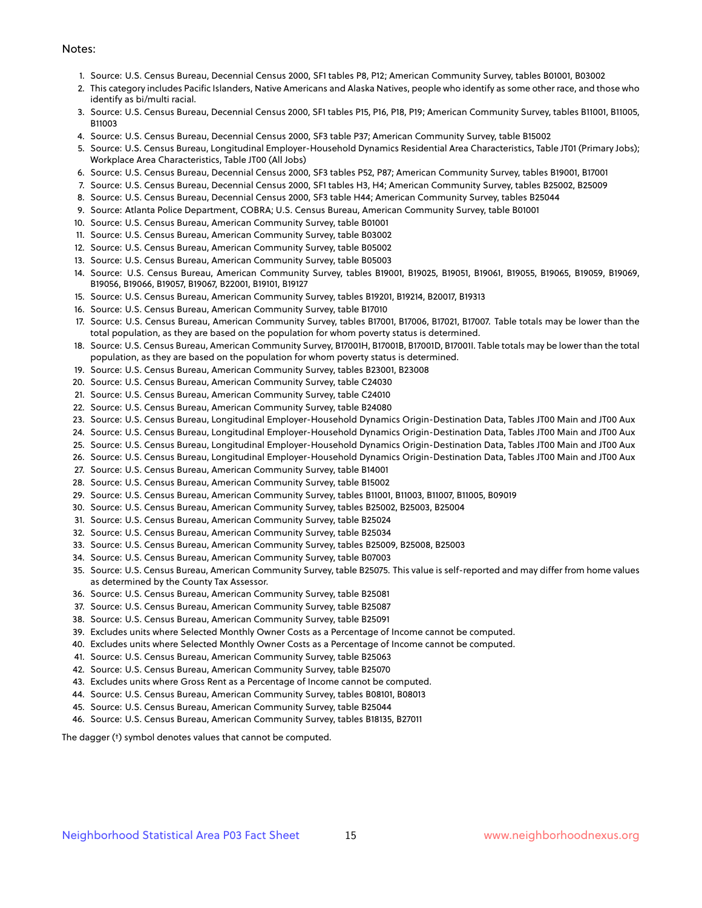#### Notes:

- 1. Source: U.S. Census Bureau, Decennial Census 2000, SF1 tables P8, P12; American Community Survey, tables B01001, B03002
- 2. This category includes Pacific Islanders, Native Americans and Alaska Natives, people who identify as some other race, and those who identify as bi/multi racial.
- 3. Source: U.S. Census Bureau, Decennial Census 2000, SF1 tables P15, P16, P18, P19; American Community Survey, tables B11001, B11005, B11003
- 4. Source: U.S. Census Bureau, Decennial Census 2000, SF3 table P37; American Community Survey, table B15002
- 5. Source: U.S. Census Bureau, Longitudinal Employer-Household Dynamics Residential Area Characteristics, Table JT01 (Primary Jobs); Workplace Area Characteristics, Table JT00 (All Jobs)
- 6. Source: U.S. Census Bureau, Decennial Census 2000, SF3 tables P52, P87; American Community Survey, tables B19001, B17001
- 7. Source: U.S. Census Bureau, Decennial Census 2000, SF1 tables H3, H4; American Community Survey, tables B25002, B25009
- 8. Source: U.S. Census Bureau, Decennial Census 2000, SF3 table H44; American Community Survey, tables B25044
- 9. Source: Atlanta Police Department, COBRA; U.S. Census Bureau, American Community Survey, table B01001
- 10. Source: U.S. Census Bureau, American Community Survey, table B01001
- 11. Source: U.S. Census Bureau, American Community Survey, table B03002
- 12. Source: U.S. Census Bureau, American Community Survey, table B05002
- 13. Source: U.S. Census Bureau, American Community Survey, table B05003
- 14. Source: U.S. Census Bureau, American Community Survey, tables B19001, B19025, B19051, B19061, B19055, B19065, B19059, B19069, B19056, B19066, B19057, B19067, B22001, B19101, B19127
- 15. Source: U.S. Census Bureau, American Community Survey, tables B19201, B19214, B20017, B19313
- 16. Source: U.S. Census Bureau, American Community Survey, table B17010
- 17. Source: U.S. Census Bureau, American Community Survey, tables B17001, B17006, B17021, B17007. Table totals may be lower than the total population, as they are based on the population for whom poverty status is determined.
- 18. Source: U.S. Census Bureau, American Community Survey, B17001H, B17001B, B17001D, B17001I. Table totals may be lower than the total population, as they are based on the population for whom poverty status is determined.
- 19. Source: U.S. Census Bureau, American Community Survey, tables B23001, B23008
- 20. Source: U.S. Census Bureau, American Community Survey, table C24030
- 21. Source: U.S. Census Bureau, American Community Survey, table C24010
- 22. Source: U.S. Census Bureau, American Community Survey, table B24080
- 23. Source: U.S. Census Bureau, Longitudinal Employer-Household Dynamics Origin-Destination Data, Tables JT00 Main and JT00 Aux
- 24. Source: U.S. Census Bureau, Longitudinal Employer-Household Dynamics Origin-Destination Data, Tables JT00 Main and JT00 Aux
- 25. Source: U.S. Census Bureau, Longitudinal Employer-Household Dynamics Origin-Destination Data, Tables JT00 Main and JT00 Aux
- 26. Source: U.S. Census Bureau, Longitudinal Employer-Household Dynamics Origin-Destination Data, Tables JT00 Main and JT00 Aux
- 27. Source: U.S. Census Bureau, American Community Survey, table B14001
- 28. Source: U.S. Census Bureau, American Community Survey, table B15002
- 29. Source: U.S. Census Bureau, American Community Survey, tables B11001, B11003, B11007, B11005, B09019
- 30. Source: U.S. Census Bureau, American Community Survey, tables B25002, B25003, B25004
- 31. Source: U.S. Census Bureau, American Community Survey, table B25024
- 32. Source: U.S. Census Bureau, American Community Survey, table B25034
- 33. Source: U.S. Census Bureau, American Community Survey, tables B25009, B25008, B25003
- 34. Source: U.S. Census Bureau, American Community Survey, table B07003
- 35. Source: U.S. Census Bureau, American Community Survey, table B25075. This value is self-reported and may differ from home values as determined by the County Tax Assessor.
- 36. Source: U.S. Census Bureau, American Community Survey, table B25081
- 37. Source: U.S. Census Bureau, American Community Survey, table B25087
- 38. Source: U.S. Census Bureau, American Community Survey, table B25091
- 39. Excludes units where Selected Monthly Owner Costs as a Percentage of Income cannot be computed.
- 40. Excludes units where Selected Monthly Owner Costs as a Percentage of Income cannot be computed.
- 41. Source: U.S. Census Bureau, American Community Survey, table B25063
- 42. Source: U.S. Census Bureau, American Community Survey, table B25070
- 43. Excludes units where Gross Rent as a Percentage of Income cannot be computed.
- 44. Source: U.S. Census Bureau, American Community Survey, tables B08101, B08013
- 45. Source: U.S. Census Bureau, American Community Survey, table B25044
- 46. Source: U.S. Census Bureau, American Community Survey, tables B18135, B27011

The dagger (†) symbol denotes values that cannot be computed.